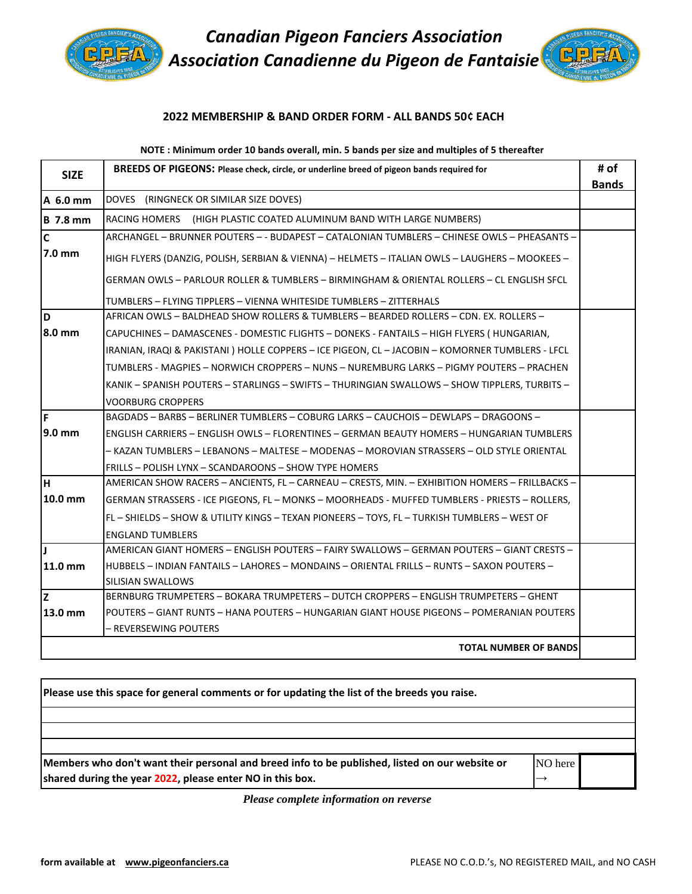

*Canadian Pigeon Fanciers Association Association Canadienne du Pigeon de Fantaisie*

# **2022 MEMBERSHIP & BAND ORDER FORM - ALL BANDS 50¢ EACH**

## **NOTE : Minimum order 10 bands overall, min. 5 bands per size and multiples of 5 thereafter**

| <b>SIZE</b>      | <b>BREEDS OF PIGEONS: Please check, circle, or underline breed of pigeon bands required for</b>  | # of         |
|------------------|--------------------------------------------------------------------------------------------------|--------------|
|                  |                                                                                                  | <b>Bands</b> |
| A 6.0 mm         | DOVES (RINGNECK OR SIMILAR SIZE DOVES)                                                           |              |
| <b>B</b> 7.8 mm  | RACING HOMERS (HIGH PLASTIC COATED ALUMINUM BAND WITH LARGE NUMBERS)                             |              |
| $\mathsf{C}$     | ARCHANGEL - BRUNNER POUTERS - - BUDAPEST - CATALONIAN TUMBLERS - CHINESE OWLS - PHEASANTS -      |              |
| $7.0 \text{ mm}$ | HIGH FLYERS (DANZIG, POLISH, SERBIAN & VIENNA) - HELMETS - ITALIAN OWLS - LAUGHERS - MOOKEES -   |              |
|                  | GERMAN OWLS - PARLOUR ROLLER & TUMBLERS - BIRMINGHAM & ORIENTAL ROLLERS - CL ENGLISH SFCL        |              |
|                  | TUMBLERS - FLYING TIPPLERS - VIENNA WHITESIDE TUMBLERS - ZITTERHALS                              |              |
| D                | AFRICAN OWLS - BALDHEAD SHOW ROLLERS & TUMBLERS - BEARDED ROLLERS - CDN. EX. ROLLERS -           |              |
| 8.0 mm           | CAPUCHINES - DAMASCENES - DOMESTIC FLIGHTS - DONEKS - FANTAILS - HIGH FLYERS (HUNGARIAN,         |              |
|                  | IRANIAN, IRAQI & PAKISTANI ) HOLLE COPPERS - ICE PIGEON, CL - JACOBIN - KOMORNER TUMBLERS - LFCL |              |
|                  | TUMBLERS - MAGPIES – NORWICH CROPPERS – NUNS – NUREMBURG LARKS – PIGMY POUTERS – PRACHEN         |              |
|                  | KANIK - SPANISH POUTERS - STARLINGS - SWIFTS - THURINGIAN SWALLOWS - SHOW TIPPLERS, TURBITS -    |              |
|                  | <b>VOORBURG CROPPERS</b>                                                                         |              |
| İF               | BAGDADS - BARBS - BERLINER TUMBLERS - COBURG LARKS - CAUCHOIS - DEWLAPS - DRAGOONS -             |              |
| 9.0 mm           | ENGLISH CARRIERS – ENGLISH OWLS – FLORENTINES – GERMAN BEAUTY HOMERS – HUNGARIAN TUMBLERS        |              |
|                  | – KAZAN TUMBLERS – LEBANONS – MALTESE – MODENAS – MOROVIAN STRASSERS – OLD STYLE ORIENTAL        |              |
|                  | FRILLS - POLISH LYNX - SCANDAROONS - SHOW TYPE HOMERS                                            |              |
| lн               | AMERICAN SHOW RACERS - ANCIENTS, FL - CARNEAU - CRESTS, MIN. - EXHIBITION HOMERS - FRILLBACKS -  |              |
| 10.0 mm          | GERMAN STRASSERS - ICE PIGEONS, FL - MONKS - MOORHEADS - MUFFED TUMBLERS - PRIESTS - ROLLERS,    |              |
|                  | FL - SHIELDS - SHOW & UTILITY KINGS - TEXAN PIONEERS - TOYS, FL - TURKISH TUMBLERS - WEST OF     |              |
|                  | <b>ENGLAND TUMBLERS</b>                                                                          |              |
| П                | AMERICAN GIANT HOMERS - ENGLISH POUTERS - FAIRY SWALLOWS - GERMAN POUTERS - GIANT CRESTS -       |              |
| 11.0 mm          | HUBBELS – INDIAN FANTAILS – LAHORES – MONDAINS – ORIENTAL FRILLS – RUNTS – SAXON POUTERS –       |              |
|                  | SILISIAN SWALLOWS                                                                                |              |
| z                | BERNBURG TRUMPETERS – BOKARA TRUMPETERS – DUTCH CROPPERS – ENGLISH TRUMPETERS – GHENT            |              |
| 13.0 mm          | POUTERS – GIANT RUNTS – HANA POUTERS – HUNGARIAN GIANT HOUSE PIGEONS – POMERANIAN POUTERS        |              |
|                  | – REVERSEWING POUTERS                                                                            |              |
|                  | <b>TOTAL NUMBER OF BANDS</b>                                                                     |              |

**Members who don't want their personal and breed info to be published, listed on our website or shared during the year 2022, please enter NO in this box.**  NO here  $\rightarrow$ **Please use this space for general comments or for updating the list of the breeds you raise.**

*Please complete information on reverse*